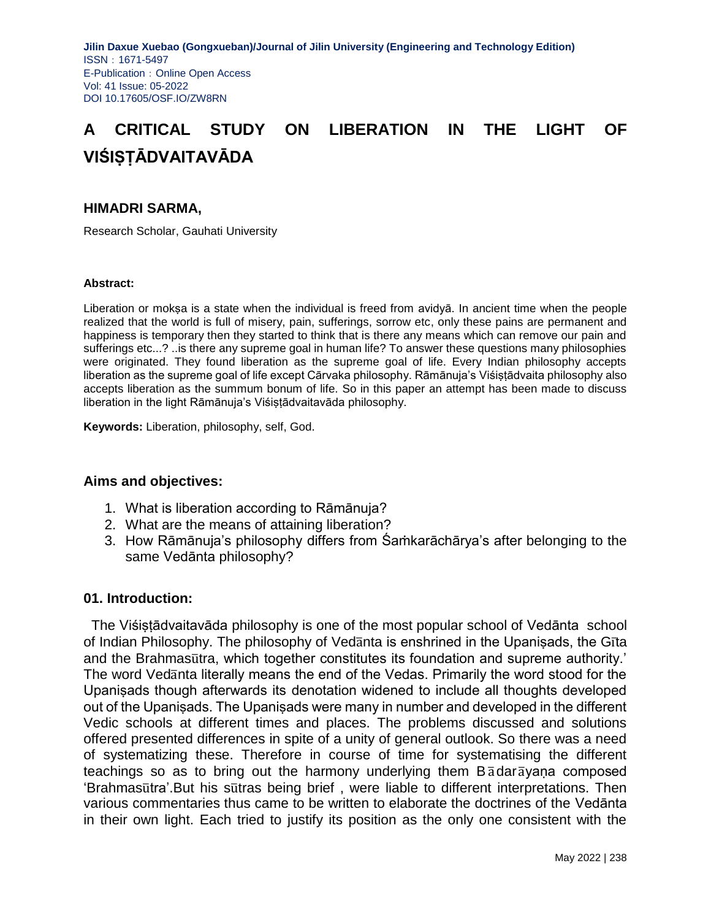# **A CRITICAL STUDY ON LIBERATION IN THE LIGHT OF VIŚIṢṬĀDVAITAVĀDA**

### **HIMADRI SARMA,**

Research Scholar, Gauhati University

#### **Abstract:**

Liberation or mokṣa is a state when the individual is freed from avidyā. In ancient time when the people realized that the world is full of misery, pain, sufferings, sorrow etc, only these pains are permanent and happiness is temporary then they started to think that is there any means which can remove our pain and sufferings etc...? ..is there any supreme goal in human life? To answer these questions many philosophies were originated. They found liberation as the supreme goal of life. Every Indian philosophy accepts liberation as the supreme goal of life except Cārvaka philosophy. Rāmānuja's Viśiṣṭādvaita philosophy also accepts liberation as the summum bonum of life. So in this paper an attempt has been made to discuss liberation in the light Rāmānuja's Viśiṣṭādvaitavāda philosophy.

**Keywords:** Liberation, philosophy, self, God.

#### **Aims and objectives:**

- 1. What is liberation according to Rāmānuja?
- 2. What are the means of attaining liberation?
- 3. How Rāmānuja's philosophy differs from Śaṁkarāchārya's after belonging to the same Vedānta philosophy?

#### **01. Introduction:**

 The Viśiṣṭādvaitavāda philosophy is one of the most popular school of Vedānta school of Indian Philosophy. The philosophy of Vedanta is enshrined in the Upanisads, the Gita and the Brahmasutra, which together constitutes its foundation and supreme authority.' The word Vedanta literally means the end of the Vedas. Primarily the word stood for the Upaniṣads though afterwards its denotation widened to include all thoughts developed out of the Upaniṣads. The Upaniṣads were many in number and developed in the different Vedic schools at different times and places. The problems discussed and solutions offered presented differences in spite of a unity of general outlook. So there was a need of systematizing these. Therefore in course of time for systematising the different teachings so as to bring out the harmony underlying them  $B\bar{a}$  dar  $\bar{a}$  yana composed 'Brahmasutra'.But his sutras being brief, were liable to different interpretations. Then various commentaries thus came to be written to elaborate the doctrines of the Vedānta in their own light. Each tried to justify its position as the only one consistent with the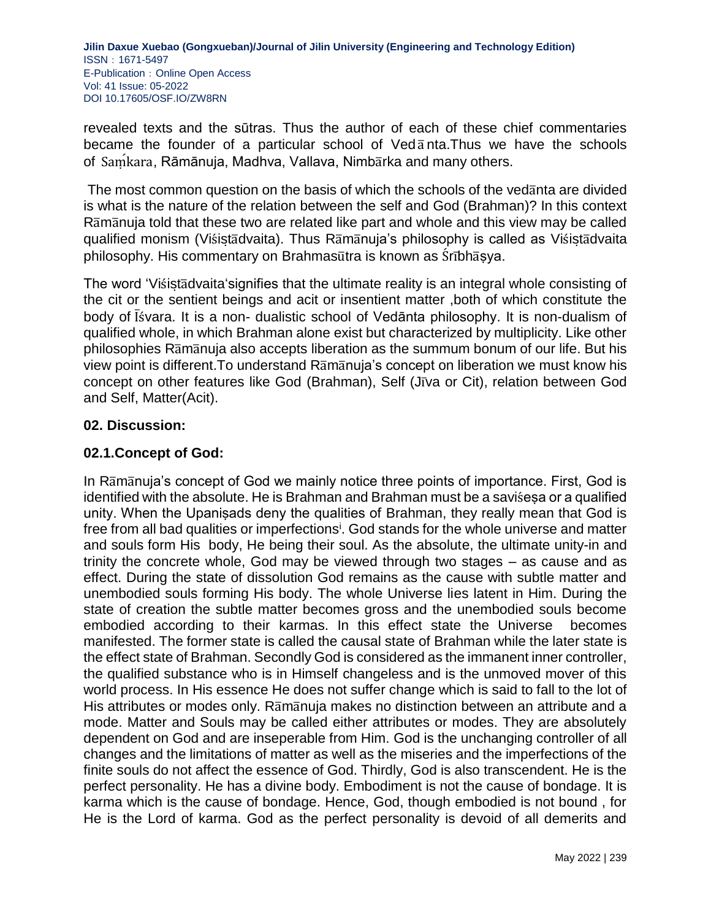revealed texts and the sūtras. Thus the author of each of these chief commentaries became the founder of a particular school of  $V$ ed $\bar{a}$  nta. Thus we have the schools of Saṃ́kara, Rāmānuja, Madhva, Vallava, Nimbārka and many others.

The most common question on the basis of which the schools of the vedanta are divided is what is the nature of the relation between the self and God (Brahman)? In this context Ramanuja told that these two are related like part and whole and this view may be called qualified monism (Viśistadvaita). Thus Ramanuja's philosophy is called as Viśistadvaita philosophy. His commentary on Brahmasūtra is known as Śrībhāsya.

The word 'Vistas dvaita' signifies that the ultimate reality is an integral whole consisting of the cit or the sentient beings and acit or insentient matter ,both of which constitute the body of Isvara. It is a non- dualistic school of Vedānta philosophy. It is non-dualism of qualified whole, in which Brahman alone exist but characterized by multiplicity. Like other philosophies Ramanuja also accepts liberation as the summum bonum of our life. But his view point is different. To understand Ramanuja's concept on liberation we must know his concept on other features like God (Brahman), Self (Jiva or Cit), relation between God and Self, Matter(Acit).

## **02. Discussion:**

## **02.1.Concept of God:**

In Ramanuja's concept of God we mainly notice three points of importance. First, God is identified with the absolute. He is Brahman and Brahman must be a saviśesa or a qualified unity. When the Upaniṣads deny the qualities of Brahman, they really mean that God is free from all bad qualities or imperfections<sup>i</sup>. God stands for the whole universe and matter and souls form His body, He being their soul. As the absolute, the ultimate unity-in and trinity the concrete whole, God may be viewed through two stages – as cause and as effect. During the state of dissolution God remains as the cause with subtle matter and unembodied souls forming His body. The whole Universe lies latent in Him. During the state of creation the subtle matter becomes gross and the unembodied souls become embodied according to their karmas. In this effect state the Universe becomes manifested. The former state is called the causal state of Brahman while the later state is the effect state of Brahman. Secondly God is considered as the immanent inner controller, the qualified substance who is in Himself changeless and is the unmoved mover of this world process. In His essence He does not suffer change which is said to fall to the lot of His attributes or modes only. Ramanuja makes no distinction between an attribute and a mode. Matter and Souls may be called either attributes or modes. They are absolutely dependent on God and are inseperable from Him. God is the unchanging controller of all changes and the limitations of matter as well as the miseries and the imperfections of the finite souls do not affect the essence of God. Thirdly, God is also transcendent. He is the perfect personality. He has a divine body. Embodiment is not the cause of bondage. It is karma which is the cause of bondage. Hence, God, though embodied is not bound , for He is the Lord of karma. God as the perfect personality is devoid of all demerits and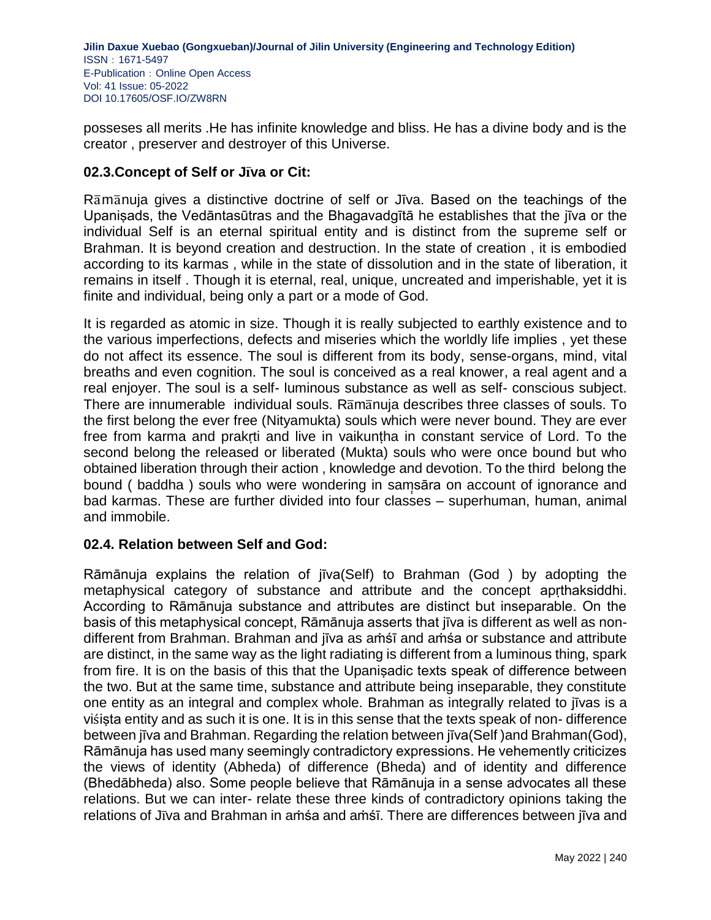posseses all merits .He has infinite knowledge and bliss. He has a divine body and is the creator , preserver and destroyer of this Universe.

# **02.3.Concept of Self or Jva**̅ **or Cit:**

Ramanuja gives a distinctive doctrine of self or Jiva. Based on the teachings of the Upaniṣads, the Vedāntasūtras and the Bhagavadgītā he establishes that the jīva or the individual Self is an eternal spiritual entity and is distinct from the supreme self or Brahman. It is beyond creation and destruction. In the state of creation , it is embodied according to its karmas , while in the state of dissolution and in the state of liberation, it remains in itself . Though it is eternal, real, unique, uncreated and imperishable, yet it is finite and individual, being only a part or a mode of God.

It is regarded as atomic in size. Though it is really subjected to earthly existence and to the various imperfections, defects and miseries which the worldly life implies , yet these do not affect its essence. The soul is different from its body, sense-organs, mind, vital breaths and even cognition. The soul is conceived as a real knower, a real agent and a real enjoyer. The soul is a self- luminous substance as well as self- conscious subject. There are innumerable individual souls. Ramanuja describes three classes of souls. To the first belong the ever free (Nityamukta) souls which were never bound. They are ever free from karma and prakrti and live in vaikuntha in constant service of Lord. To the second belong the released or liberated (Mukta) souls who were once bound but who obtained liberation through their action , knowledge and devotion. To the third belong the bound (baddha) souls who were wondering in samsāra on account of ignorance and bad karmas. These are further divided into four classes – superhuman, human, animal and immobile.

## **02.4. Relation between Self and God:**

Rāmānuja explains the relation of jīva(Self) to Brahman (God ) by adopting the metaphysical category of substance and attribute and the concept apṛthaksiddhi. According to Rāmānuja substance and attributes are distinct but inseparable. On the basis of this metaphysical concept, Rāmānuja asserts that jīva is different as well as nondifferent from Brahman. Brahman and jīva as aṁśī and aṁśa or substance and attribute are distinct, in the same way as the light radiating is different from a luminous thing, spark from fire. It is on the basis of this that the Upaniṣadic texts speak of difference between the two. But at the same time, substance and attribute being inseparable, they constitute one entity as an integral and complex whole. Brahman as integrally related to jīvas is a visista entity and as such it is one. It is in this sense that the texts speak of non- difference between jīva and Brahman. Regarding the relation between jīva(Self )and Brahman(God), Rāmānuja has used many seemingly contradictory expressions. He vehemently criticizes the views of identity (Abheda) of difference (Bheda) and of identity and difference (Bhedābheda) also. Some people believe that Rāmānuja in a sense advocates all these relations. But we can inter- relate these three kinds of contradictory opinions taking the relations of Jīva and Brahman in aṁśa and aṁśī. There are differences between jīva and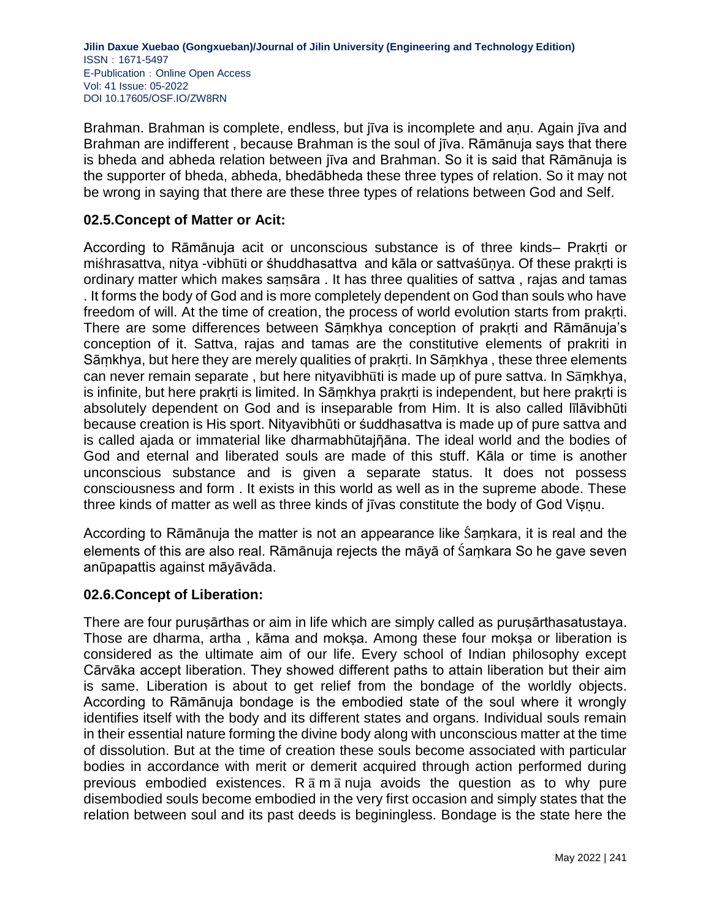Brahman. Brahman is complete, endless, but jīva is incomplete and anu. Again jīva and Brahman are indifferent , because Brahman is the soul of jīva. Rāmānuja says that there is bheda and abheda relation between jīva and Brahman. So it is said that Rāmānuja is the supporter of bheda, abheda, bhedābheda these three types of relation. So it may not be wrong in saying that there are these three types of relations between God and Self.

# **02.5.Concept of Matter or Acit:**

According to Rāmānuja acit or unconscious substance is of three kinds– Prakṛti or miśhrasattva, nitya -vibhūti or śhuddhasattva and kāla or sattvaśūnya. Of these prakrti is ordinary matter which makes saṃsāra . It has three qualities of sattva , rajas and tamas . It forms the body of God and is more completely dependent on God than souls who have freedom of will. At the time of creation, the process of world evolution starts from prakṛti. There are some differences between Sāṃkhya conception of prakṛti and Rāmānuja's conception of it. Sattva, rajas and tamas are the constitutive elements of prakriti in Sāṃkhya, but here they are merely qualities of prakṛti. In Sāṃkhya , these three elements can never remain separate, but here nityavibhuti is made up of pure sattva. In Samkhya, is infinite, but here prakṛti is limited. In Sāṃkhya prakṛti is independent, but here prakṛti is absolutely dependent on God and is inseparable from Him. It is also called līlāvibhūti because creation is His sport. Nityavibhūti or śuddhasattva is made up of pure sattva and is called ajada or immaterial like dharmabhūtajῆāna. The ideal world and the bodies of God and eternal and liberated souls are made of this stuff. Kāla or time is another unconscious substance and is given a separate status. It does not possess consciousness and form . It exists in this world as well as in the supreme abode. These three kinds of matter as well as three kinds of jīvas constitute the body of God Viṣṇu.

According to Rāmānuja the matter is not an appearance like Śaṃkara, it is real and the elements of this are also real. Rāmānuja rejects the māyā of Śaṃkara So he gave seven anūpapattis against māyāvāda.

## **02.6.Concept of Liberation:**

There are four puruṣārthas or aim in life which are simply called as puruṣārthasatustaya. Those are dharma, artha, kāma and moksa. Among these four moksa or liberation is considered as the ultimate aim of our life. Every school of Indian philosophy except Cārvāka accept liberation. They showed different paths to attain liberation but their aim is same. Liberation is about to get relief from the bondage of the worldly objects. According to Rāmānuja bondage is the embodied state of the soul where it wrongly identifies itself with the body and its different states and organs. Individual souls remain in their essential nature forming the divine body along with unconscious matter at the time of dissolution. But at the time of creation these souls become associated with particular bodies in accordance with merit or demerit acquired through action performed during previous embodied existences. R  $\bar{a}$  m  $\bar{a}$  nuja avoids the question as to why pure disembodied souls become embodied in the very first occasion and simply states that the relation between soul and its past deeds is beginingless. Bondage is the state here the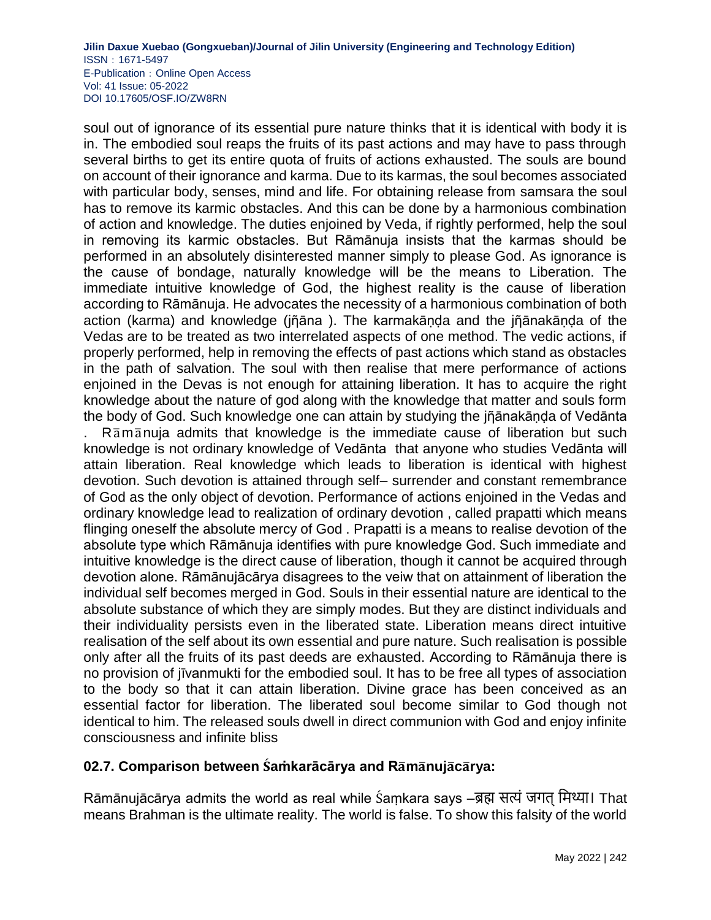soul out of ignorance of its essential pure nature thinks that it is identical with body it is in. The embodied soul reaps the fruits of its past actions and may have to pass through several births to get its entire quota of fruits of actions exhausted. The souls are bound on account of their ignorance and karma. Due to its karmas, the soul becomes associated with particular body, senses, mind and life. For obtaining release from samsara the soul has to remove its karmic obstacles. And this can be done by a harmonious combination of action and knowledge. The duties enjoined by Veda, if rightly performed, help the soul in removing its karmic obstacles. But Rāmānuja insists that the karmas should be performed in an absolutely disinterested manner simply to please God. As ignorance is the cause of bondage, naturally knowledge will be the means to Liberation. The immediate intuitive knowledge of God, the highest reality is the cause of liberation according to Rāmānuja. He advocates the necessity of a harmonious combination of both action (karma) and knowledge (jñāna). The karmakānda and the jñānakānda of the Vedas are to be treated as two interrelated aspects of one method. The vedic actions, if properly performed, help in removing the effects of past actions which stand as obstacles in the path of salvation. The soul with then realise that mere performance of actions enjoined in the Devas is not enough for attaining liberation. It has to acquire the right knowledge about the nature of god along with the knowledge that matter and souls form the body of God. Such knowledge one can attain by studying the jñānakānda of Vedānta

Ramanuja admits that knowledge is the immediate cause of liberation but such knowledge is not ordinary knowledge of Vedānta that anyone who studies Vedānta will attain liberation. Real knowledge which leads to liberation is identical with highest devotion. Such devotion is attained through self– surrender and constant remembrance of God as the only object of devotion. Performance of actions enjoined in the Vedas and ordinary knowledge lead to realization of ordinary devotion , called prapatti which means flinging oneself the absolute mercy of God . Prapatti is a means to realise devotion of the absolute type which Rāmānuja identifies with pure knowledge God. Such immediate and intuitive knowledge is the direct cause of liberation, though it cannot be acquired through devotion alone. Rāmānujācārya disagrees to the veiw that on attainment of liberation the individual self becomes merged in God. Souls in their essential nature are identical to the absolute substance of which they are simply modes. But they are distinct individuals and their individuality persists even in the liberated state. Liberation means direct intuitive realisation of the self about its own essential and pure nature. Such realisation is possible only after all the fruits of its past deeds are exhausted. According to Rāmānuja there is no provision of jīvanmukti for the embodied soul. It has to be free all types of association to the body so that it can attain liberation. Divine grace has been conceived as an essential factor for liberation. The liberated soul become similar to God though not identical to him. The released souls dwell in direct communion with God and enjoy infinite consciousness and infinite bliss

# **02.7. Comparison between** ́**aṁkarācārya and R**̅**m**̅**nuj**̅**c**̅**rya:**

Rāmānujācārya admits the world as real while Śaṃkara says –ब्रह्म सत्यं जगत् मिथ्या। That means Brahman is the ultimate reality. The world is false. To show this falsity of the world